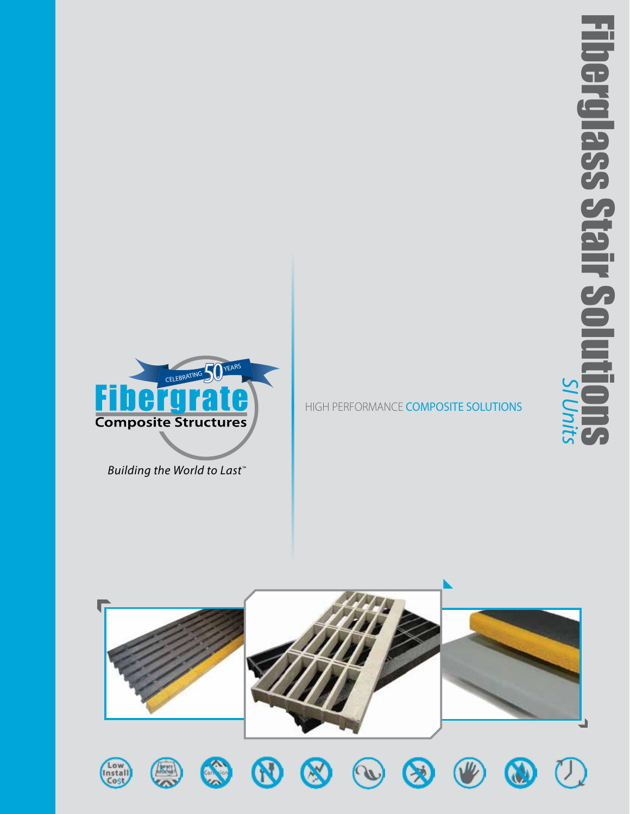

*Building the World to Last™*

HIGH PERFORMANCE COMPOSITE SOLUTIONS

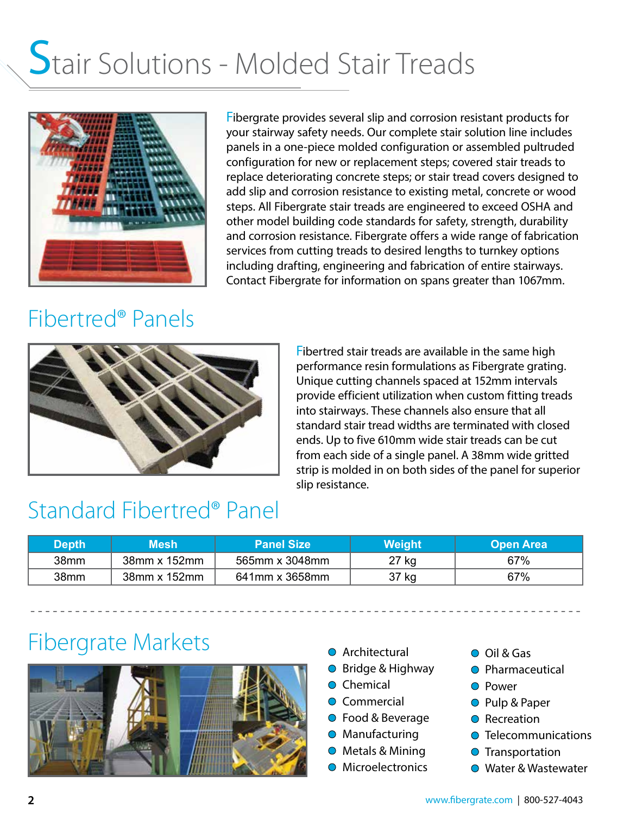## Stair Solutions - Molded Stair Treads



Fibergrate provides several slip and corrosion resistant products for your stairway safety needs. Our complete stair solution line includes panels in a one-piece molded configuration or assembled pultruded configuration for new or replacement steps; covered stair treads to replace deteriorating concrete steps; or stair tread covers designed to add slip and corrosion resistance to existing metal, concrete or wood steps. All Fibergrate stair treads are engineered to exceed OSHA and other model building code standards for safety, strength, durability and corrosion resistance. Fibergrate offers a wide range of fabrication services from cutting treads to desired lengths to turnkey options including drafting, engineering and fabrication of entire stairways. Contact Fibergrate for information on spans greater than 1067mm.

### Fibertred® Panels



Fibertred stair treads are available in the same high performance resin formulations as Fibergrate grating. Unique cutting channels spaced at 152mm intervals provide efficient utilization when custom fitting treads into stairways. These channels also ensure that all standard stair tread widths are terminated with closed ends. Up to five 610mm wide stair treads can be cut from each side of a single panel. A 38mm wide gritted strip is molded in on both sides of the panel for superior slip resistance.

### Standard Fibertred® Panel

| Depth | Mesh         | <b>\Panel Size</b> \ | Weight | <b>Open Area</b> |
|-------|--------------|----------------------|--------|------------------|
| 38mm  | 38mm x 152mm | 565mm x 3048mm       | 27 kg  | 67%              |
| 38mm  | 38mm x 152mm | 641mm x 3658mm       | 37 kg  | 67%              |

- - - - - - - - - - - - - - - - - - - - - - - - - - - - - - - - - - - - - - - - - - - - - - - - - - - - - - - - - - - - - - - - - - - - - - - - - -

### Fibergrate Markets



- **O** Architectural
- Bridge & Highway
- **O** Chemical
- **O** Commercial
- **Food & Beverage**
- **O** Manufacturing
- Metals & Mining
- **O** Microelectronics
- Oil & Gas
- **O** Pharmaceutical
- **O** Power
- Pulp & Paper
- **O** Recreation
- **O** Telecommunications
- **O** Transportation
- **Water & Wastewater**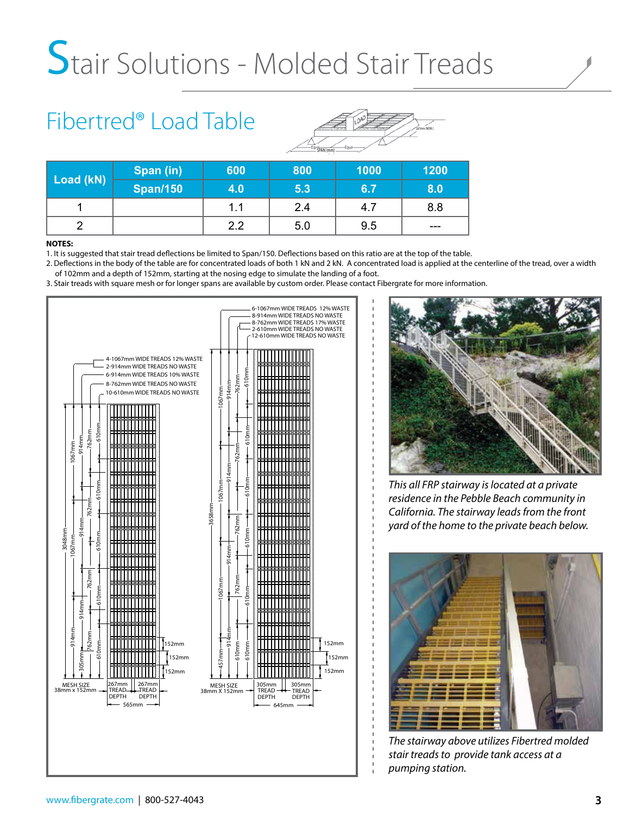## Stair Solutions - Molded Stair Treads

## Fibertred® Load Table



- - - - - - - - - - - - - - - - - - - - - - - - - - - - - - - - - - - - - - - - - - - - - - - - - - - - - - - - - - - - - - - -

| Load (kN) | Span (in)       | 600 | 800 | 1000 | 1200  |
|-----------|-----------------|-----|-----|------|-------|
|           | <b>Span/150</b> | 4.0 | 5.3 | 6.7  | 8.0   |
|           |                 | 1.1 | 2.4 | 4.7  | 8.8   |
|           |                 | 2.2 | 5.0 | 9.5  | $---$ |

#### **NOTES:**

1. It is suggested that stair tread deflections be limited to Span/150. Deflections based on this ratio are at the top of the table.

2. Deflections in the body of the table are for concentrated loads of both 1 kN and 2 kN. A concentrated load is applied at the centerline of the tread, over a width of 102mm and a depth of 152mm, starting at the nosing edge to simulate the landing of a foot.

3. Stair treads with square mesh or for longer spans are available by custom order. Please contact Fibergrate for more information.





*This all FRP stairway is located at a private residence in the Pebble Beach community in California. The stairway leads from the front yard of the home to the private beach below.*



*The stairway above utilizes Fibertred molded stair treads to provide tank access at a pumping station.*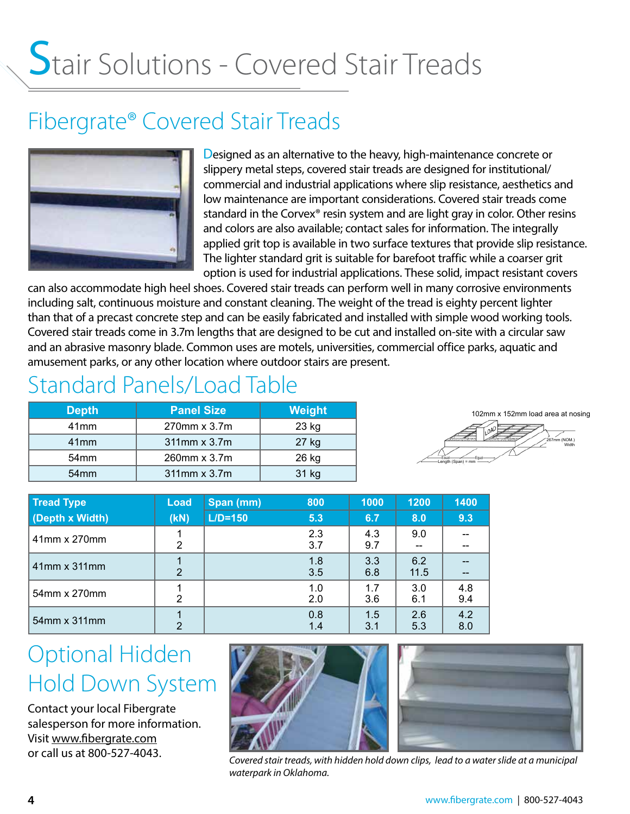# Stair Solutions - Covered Stair Treads

### Fibergrate® Covered Stair Treads



Designed as an alternative to the heavy, high-maintenance concrete or slippery metal steps, covered stair treads are designed for institutional/ commercial and industrial applications where slip resistance, aesthetics and low maintenance are important considerations. Covered stair treads come standard in the Corvex® resin system and are light gray in color. Other resins and colors are also available; contact sales for information. The integrally applied grit top is available in two surface textures that provide slip resistance. The lighter standard grit is suitable for barefoot traffic while a coarser grit option is used for industrial applications. These solid, impact resistant covers

can also accommodate high heel shoes. Covered stair treads can perform well in many corrosive environments including salt, continuous moisture and constant cleaning. The weight of the tread is eighty percent lighter than that of a precast concrete step and can be easily fabricated and installed with simple wood working tools. Covered stair treads come in 3.7m lengths that are designed to be cut and installed on-site with a circular saw and an abrasive masonry blade. Common uses are motels, universities, commercial office parks, aquatic and amusement parks, or any other location where outdoor stairs are present.

### Standard Panels/Load Table

| <b>Depth</b>     | <b>Panel Size</b>  | Weight |
|------------------|--------------------|--------|
| 41mm             | $270$ mm x $3.7$ m | 23 kg  |
| 41mm             | 311mm x 3.7m       | 27 kg  |
| 54 <sub>mm</sub> | 260mm x 3.7m       | 26 kg  |
| 54 <sub>mm</sub> | 311mm x 3.7m       | 31 kg  |



| <b>Tread Type</b> | Load          | Span (mm)   | 800        | 1000       | 1200        | 1400       |
|-------------------|---------------|-------------|------------|------------|-------------|------------|
| (Depth x Width)   | (KN)          | $L/D = 150$ | 5.3        | 6.7        | 8.0         | 9.3        |
| 41mm x 270mm      | 2             |             | 2.3<br>3.7 | 4.3<br>9.7 | 9.0         |            |
| 41mm x 311mm      | $\mathcal{P}$ |             | 1.8<br>3.5 | 3.3<br>6.8 | 6.2<br>11.5 |            |
| 54mm x 270mm      | 2             |             | 1.0<br>2.0 | 1.7<br>3.6 | 3.0<br>6.1  | 4.8<br>9.4 |
| 54mm x 311mm      | 2             |             | 0.8<br>1.4 | 1.5<br>3.1 | 2.6<br>5.3  | 4.2<br>8.0 |

### Optional Hidden Hold Down System

Contact your local Fibergrate salesperson for more information. Visit www.fibergrate.com or call us at 800-527-4043.





*Covered stair treads, with hidden hold down clips, lead to a water slide at a municipal waterpark in Oklahoma.*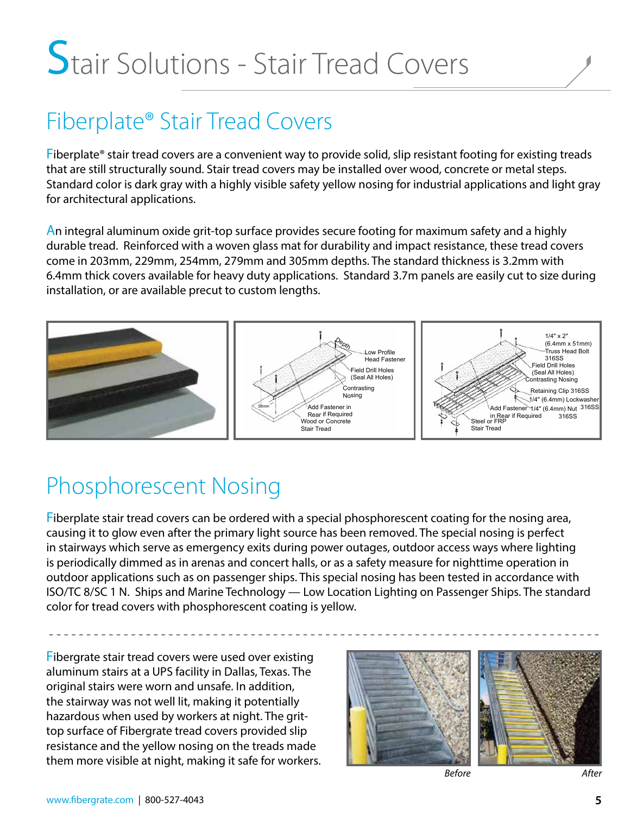## Stair Solutions - Stair Tread Covers

## Fiberplate® Stair Tread Covers

Fiberplate® stair tread covers are a convenient way to provide solid, slip resistant footing for existing treads that are still structurally sound. Stair tread covers may be installed over wood, concrete or metal steps. Standard color is dark gray with a highly visible safety yellow nosing for industrial applications and light gray for architectural applications.

An integral aluminum oxide grit-top surface provides secure footing for maximum safety and a highly durable tread. Reinforced with a woven glass mat for durability and impact resistance, these tread covers come in 203mm, 229mm, 254mm, 279mm and 305mm depths. The standard thickness is 3.2mm with 6.4mm thick covers available for heavy duty applications. Standard 3.7m panels are easily cut to size during installation, or are available precut to custom lengths.



### Phosphorescent Nosing

Fiberplate stair tread covers can be ordered with a special phosphorescent coating for the nosing area, causing it to glow even after the primary light source has been removed. The special nosing is perfect in stairways which serve as emergency exits during power outages, outdoor access ways where lighting is periodically dimmed as in arenas and concert halls, or as a safety measure for nighttime operation in outdoor applications such as on passenger ships. This special nosing has been tested in accordance with ISO/TC 8/SC 1 N. Ships and Marine Technology — Low Location Lighting on Passenger Ships. The standard color for tread covers with phosphorescent coating is yellow.

- - - - - - - - - - - - - - - - - - - - - - - - - - - - - - - - - - - - - - - - - - - - - - - - - - - - - - - - - - - - - - - - - - - - - - - - - -

Fibergrate stair tread covers were used over existing aluminum stairs at a UPS facility in Dallas, Texas. The original stairs were worn and unsafe. In addition, the stairway was not well lit, making it potentially hazardous when used by workers at night. The grittop surface of Fibergrate tread covers provided slip resistance and the yellow nosing on the treads made them more visible at night, making it safe for workers.



*Before After*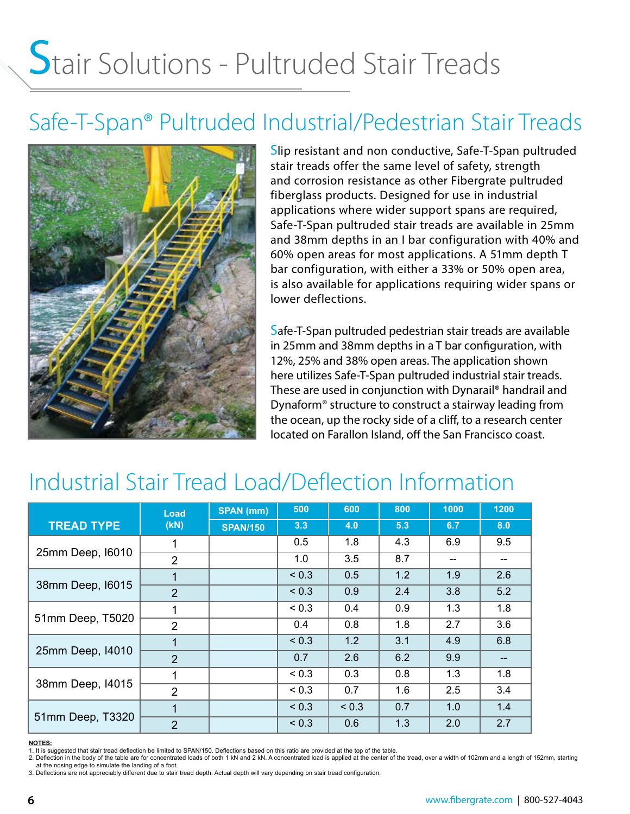## Stair Solutions - Pultruded Stair Treads

### Safe-T-Span® Pultruded Industrial/Pedestrian Stair Treads



Slip resistant and non conductive, Safe-T-Span pultruded stair treads offer the same level of safety, strength and corrosion resistance as other Fibergrate pultruded fiberglass products. Designed for use in industrial applications where wider support spans are required, Safe-T-Span pultruded stair treads are available in 25mm and 38mm depths in an I bar configuration with 40% and 60% open areas for most applications. A 51mm depth T bar configuration, with either a 33% or 50% open area, is also available for applications requiring wider spans or lower deflections.

Safe-T-Span pultruded pedestrian stair treads are available in 25mm and 38mm depths in a T bar configuration, with 12%, 25% and 38% open areas. The application shown here utilizes Safe-T-Span pultruded industrial stair treads. These are used in conjunction with Dynarail® handrail and Dynaform® structure to construct a stairway leading from the ocean, up the rocky side of a cliff, to a research center located on Farallon Island, off the San Francisco coast.

### Industrial Stair Tread Load/Deflection Information

|                   | Load<br>(KN)   | <b>SPAN</b> (mm) | 500        | 600        | 800 | 1000 | 1200 |
|-------------------|----------------|------------------|------------|------------|-----|------|------|
| <b>TREAD TYPE</b> |                | <b>SPAN/150</b>  | 3.3        | 4.0        | 5.3 | 6.7  | 8.0  |
|                   |                |                  | 0.5        | 1.8        | 4.3 | 6.9  | 9.5  |
| 25mm Deep, 16010  | $\overline{2}$ |                  | 1.0        | 3.5        | 8.7 | --   | --   |
|                   |                |                  | ${}_{0.3}$ | 0.5        | 1.2 | 1.9  | 2.6  |
| 38mm Deep, I6015  | $\overline{2}$ |                  | ${}_{0.3}$ | 0.9        | 2.4 | 3.8  | 5.2  |
|                   |                |                  | ${}_{0.3}$ | 0.4        | 0.9 | 1.3  | 1.8  |
| 51mm Deep, T5020  | $\overline{2}$ |                  | 0.4        | 0.8        | 1.8 | 2.7  | 3.6  |
| 25mm Deep, 14010  |                |                  | ${}_{0.3}$ | 1.2        | 3.1 | 4.9  | 6.8  |
|                   | $\overline{2}$ |                  | 0.7        | 2.6        | 6.2 | 9.9  | --   |
| 38mm Deep, I4015  | 1              |                  | ${}_{0.3}$ | 0.3        | 0.8 | 1.3  | 1.8  |
|                   | $\overline{2}$ |                  | ${}_{0.3}$ | 0.7        | 1.6 | 2.5  | 3.4  |
| 51mm Deep, T3320  |                |                  | ${}_{0.3}$ | ${}_{0.3}$ | 0.7 | 1.0  | 1.4  |
|                   | $\overline{2}$ |                  | ${}_{0.3}$ | 0.6        | 1.3 | 2.0  | 2.7  |

#### **NOTES:**

1. It is suggested that stair tread deflection be limited to SPAN/150. Deflections based on this ratio are provided at the top of the table.<br>2. Deflection in the body of the table are for concentrated loads of both 1 kN an at the nosing edge to simulate the landing of a foot.

3. Deflections are not appreciably different due to stair tread depth. Actual depth will vary depending on stair tread configuration.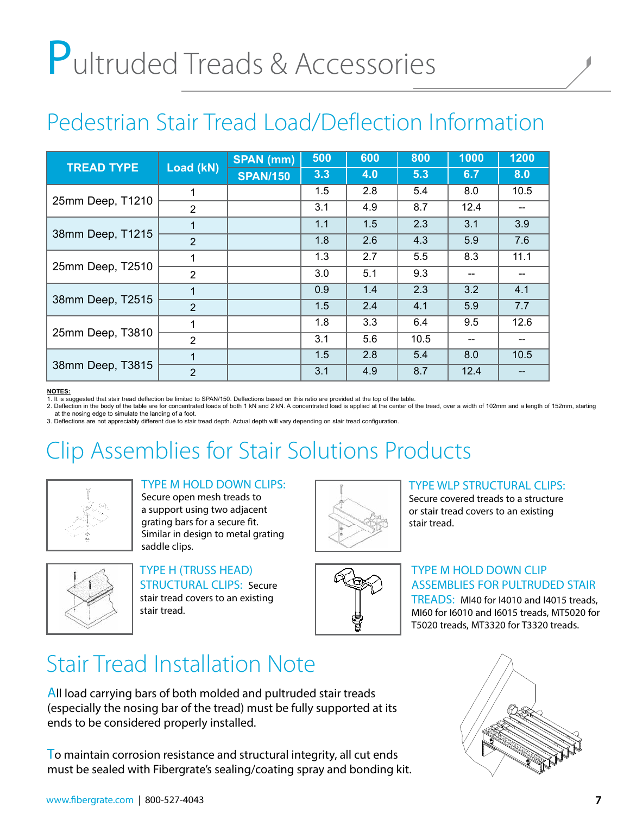# Pultruded Treads & Accessories

### Pedestrian Stair Tread Load/Deflection Information

|                   | Load (kN)      | <b>SPAN</b> (mm) | 500 | 600 | 800  | 1000 | 1200 |
|-------------------|----------------|------------------|-----|-----|------|------|------|
| <b>TREAD TYPE</b> |                | <b>SPAN/150</b>  | 3.3 | 4.0 | 5.3  | 6.7  | 8.0  |
|                   | 1              |                  | 1.5 | 2.8 | 5.4  | 8.0  | 10.5 |
| 25mm Deep, T1210  | 2              |                  | 3.1 | 4.9 | 8.7  | 12.4 |      |
| 38mm Deep, T1215  |                |                  | 1.1 | 1.5 | 2.3  | 3.1  | 3.9  |
|                   | 2              |                  | 1.8 | 2.6 | 4.3  | 5.9  | 7.6  |
|                   | 1              |                  | 1.3 | 2.7 | 5.5  | 8.3  | 11.1 |
| 25mm Deep, T2510  | $\overline{2}$ |                  | 3.0 | 5.1 | 9.3  |      |      |
| 38mm Deep, T2515  |                |                  | 0.9 | 1.4 | 2.3  | 3.2  | 4.1  |
|                   | 2              |                  | 1.5 | 2.4 | 4.1  | 5.9  | 7.7  |
| 25mm Deep, T3810  | 1              |                  | 1.8 | 3.3 | 6.4  | 9.5  | 12.6 |
|                   | 2              |                  | 3.1 | 5.6 | 10.5 |      |      |
| 38mm Deep, T3815  | 1              |                  | 1.5 | 2.8 | 5.4  | 8.0  | 10.5 |
|                   | $\overline{2}$ |                  | 3.1 | 4.9 | 8.7  | 12.4 |      |

#### **NOTES:**

1. It is suggested that stair tread deflection be limited to SPAN/150. Deflections based on this ratio are provided at the top of the table.

2. Deflection in the body of the table are for concentrated loads of both 1 kN and 2 kN. A concentrated load is applied at the center of the tread, over a width of 102mm and a length of 152mm, starting at the nosing edge to simulate the landing of a foot. 3. Deflections are not appreciably different due to stair tread depth. Actual depth will vary depending on stair tread configuration.

## Clip Assemblies for Stair Solutions Products



#### TYPE M HOLD DOWN CLIPS:

Secure open mesh treads to a support using two adjacent grating bars for a secure fit. Similar in design to metal grating saddle clips.



TYPE H (TRUSS HEAD) STRUCTURAL CLIPS: Secure stair tread covers to an existing stair tread.



#### TYPE WLP STRUCTURAL CLIPS:

Secure covered treads to a structure or stair tread covers to an existing stair tread.



#### TYPE M HOLD DOWN CLIP ASSEMBLIES FOR PULTRUDED STAIR

TREADS: MI40 for I4010 and I4015 treads, MI60 for I6010 and I6015 treads, MT5020 for T5020 treads, MT3320 for T3320 treads.

### Stair Tread Installation Note

All load carrying bars of both molded and pultruded stair treads (especially the nosing bar of the tread) must be fully supported at its ends to be considered properly installed.

To maintain corrosion resistance and structural integrity, all cut ends must be sealed with Fibergrate's sealing/coating spray and bonding kit.